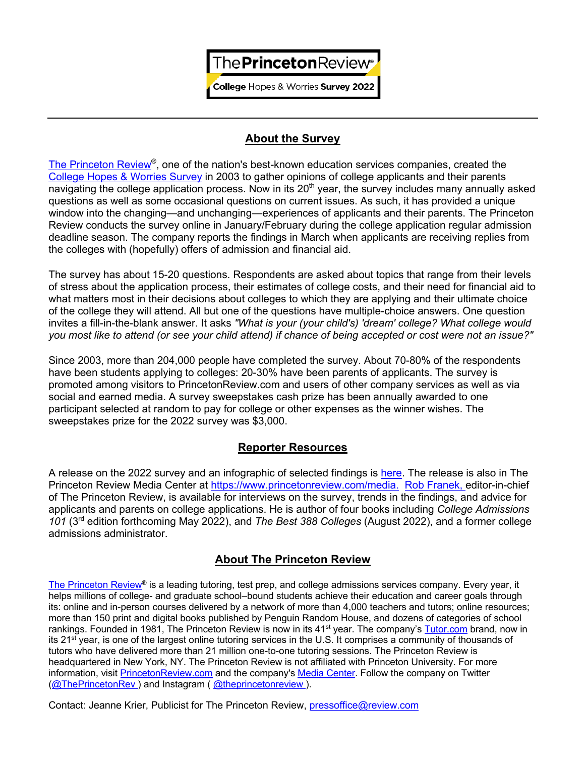**College Hopes & Worries Survey 2022** 

## **About the Survey**

The Princeton Review®, one of the nation's best-known education services companies, created the College Hopes & Worries Survey in 2003 to gather opinions of college applicants and their parents navigating the college application process. Now in its 20<sup>th</sup> year, the survey includes many annually asked questions as well as some occasional questions on current issues. As such, it has provided a unique window into the changing—and unchanging—experiences of applicants and their parents. The Princeton Review conducts the survey online in January/February during the college application regular admission deadline season. The company reports the findings in March when applicants are receiving replies from the colleges with (hopefully) offers of admission and financial aid.

The survey has about 15-20 questions. Respondents are asked about topics that range from their levels of stress about the application process, their estimates of college costs, and their need for financial aid to what matters most in their decisions about colleges to which they are applying and their ultimate choice of the college they will attend. All but one of the questions have multiple-choice answers. One question invites a fill-in-the-blank answer. It asks *"What is your (your child's) 'dream' college? What college would you most like to attend (or see your child attend) if chance of being accepted or cost were not an issue?"*

Since 2003, more than 204,000 people have completed the survey. About 70-80% of the respondents have been students applying to colleges: 20-30% have been parents of applicants. The survey is promoted among visitors to PrincetonReview.com and users of other company services as well as via social and earned media. A survey sweepstakes cash prize has been annually awarded to one participant selected at random to pay for college or other expenses as the winner wishes. The sweepstakes prize for the 2022 survey was \$3,000.

### **Reporter Resources**

A release on the 2022 survey and an infographic of selected findings is here. The release is also in The Princeton Review Media Center at https://www.princetonreview.com/media. Rob Franek, editor-in-chief of The Princeton Review, is available for interviews on the survey, trends in the findings, and advice for applicants and parents on college applications. He is author of four books including *College Admissions 101* (3rd edition forthcoming May 2022), and *The Best 388 Colleges* (August 2022), and a former college admissions administrator.

# **About The Princeton Review**

The Princeton Review® is a leading tutoring, test prep, and college admissions services company. Every vear, it helps millions of college- and graduate school–bound students achieve their education and career goals through its: online and in-person courses delivered by a network of more than 4,000 teachers and tutors; online resources; more than 150 print and digital books published by Penguin Random House, and dozens of categories of school rankings. Founded in 1981, The Princeton Review is now in its 41<sup>st</sup> year. The company's Tutor.com brand, now in its 21st year, is one of the largest online tutoring services in the U.S. It comprises a community of thousands of tutors who have delivered more than 21 million one-to-one tutoring sessions. The Princeton Review is headquartered in New York, NY. The Princeton Review is not affiliated with Princeton University. For more information, visit PrincetonReview.com and the company's Media Center. Follow the company on Twitter (@ThePrincetonRev) and Instagram (@theprincetonreview).

Contact: Jeanne Krier, Publicist for The Princeton Review, pressoffice@review.com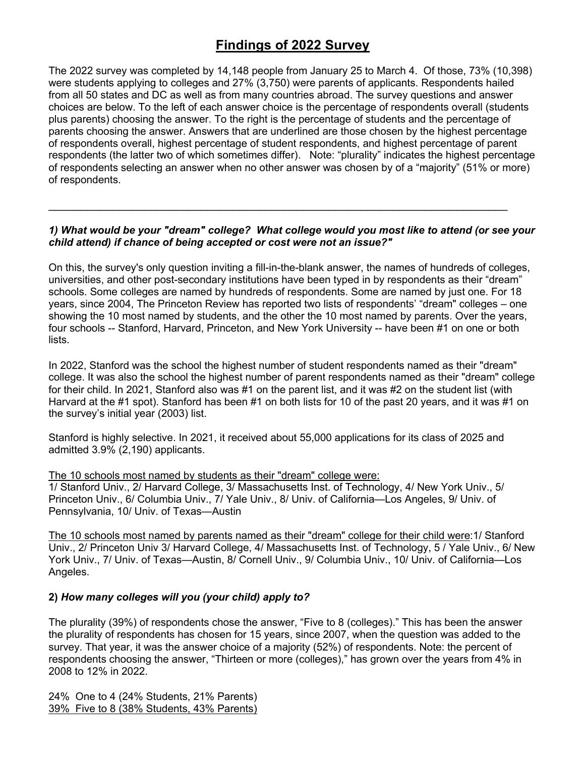# **Findings of 2022 Survey**

The 2022 survey was completed by 14,148 people from January 25 to March 4. Of those, 73% (10,398) were students applying to colleges and 27% (3,750) were parents of applicants. Respondents hailed from all 50 states and DC as well as from many countries abroad. The survey questions and answer choices are below. To the left of each answer choice is the percentage of respondents overall (students plus parents) choosing the answer. To the right is the percentage of students and the percentage of parents choosing the answer. Answers that are underlined are those chosen by the highest percentage of respondents overall, highest percentage of student respondents, and highest percentage of parent respondents (the latter two of which sometimes differ). Note: "plurality" indicates the highest percentage of respondents selecting an answer when no other answer was chosen by of a "majority" (51% or more) of respondents.

### *1) What would be your "dream" college? What college would you most like to attend (or see your child attend) if chance of being accepted or cost were not an issue?"*

 $\mathcal{L}_\mathcal{L} = \{ \mathcal{L}_\mathcal{L} = \{ \mathcal{L}_\mathcal{L} = \{ \mathcal{L}_\mathcal{L} = \{ \mathcal{L}_\mathcal{L} = \{ \mathcal{L}_\mathcal{L} = \{ \mathcal{L}_\mathcal{L} = \{ \mathcal{L}_\mathcal{L} = \{ \mathcal{L}_\mathcal{L} = \{ \mathcal{L}_\mathcal{L} = \{ \mathcal{L}_\mathcal{L} = \{ \mathcal{L}_\mathcal{L} = \{ \mathcal{L}_\mathcal{L} = \{ \mathcal{L}_\mathcal{L} = \{ \mathcal{L}_\mathcal{$ 

On this, the survey's only question inviting a fill-in-the-blank answer, the names of hundreds of colleges, universities, and other post-secondary institutions have been typed in by respondents as their "dream" schools. Some colleges are named by hundreds of respondents. Some are named by just one. For 18 years, since 2004, The Princeton Review has reported two lists of respondents' "dream" colleges – one showing the 10 most named by students, and the other the 10 most named by parents. Over the years, four schools -- Stanford, Harvard, Princeton, and New York University -- have been #1 on one or both lists.

In 2022, Stanford was the school the highest number of student respondents named as their "dream" college. It was also the school the highest number of parent respondents named as their "dream" college for their child. In 2021, Stanford also was #1 on the parent list, and it was #2 on the student list (with Harvard at the #1 spot). Stanford has been #1 on both lists for 10 of the past 20 years, and it was #1 on the survey's initial year (2003) list.

Stanford is highly selective. In 2021, it received about 55,000 applications for its class of 2025 and admitted 3.9% (2,190) applicants.

#### The 10 schools most named by students as their "dream" college were:

1/ Stanford Univ., 2/ Harvard College, 3/ Massachusetts Inst. of Technology, 4/ New York Univ., 5/ Princeton Univ., 6/ Columbia Univ., 7/ Yale Univ., 8/ Univ. of California—Los Angeles, 9/ Univ. of Pennsylvania, 10/ Univ. of Texas—Austin

The 10 schools most named by parents named as their "dream" college for their child were:1/ Stanford Univ., 2/ Princeton Univ 3/ Harvard College, 4/ Massachusetts Inst. of Technology, 5 / Yale Univ., 6/ New York Univ., 7/ Univ. of Texas—Austin, 8/ Cornell Univ., 9/ Columbia Univ., 10/ Univ. of California—Los Angeles.

### **2)** *How many colleges will you (your child) apply to?*

The plurality (39%) of respondents chose the answer, "Five to 8 (colleges)." This has been the answer the plurality of respondents has chosen for 15 years, since 2007, when the question was added to the survey. That year, it was the answer choice of a majority (52%) of respondents. Note: the percent of respondents choosing the answer, "Thirteen or more (colleges)," has grown over the years from 4% in 2008 to 12% in 2022.

24% One to 4 (24% Students, 21% Parents) 39% Five to 8 (38% Students, 43% Parents)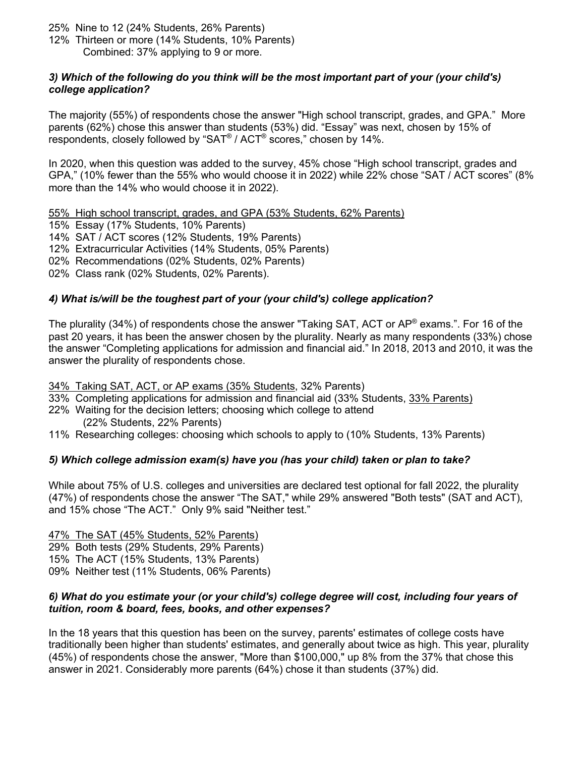- 25% Nine to 12 (24% Students, 26% Parents)
- 12% Thirteen or more (14% Students, 10% Parents) Combined: 37% applying to 9 or more.

#### *3) Which of the following do you think will be the most important part of your (your child's) college application?*

The majority (55%) of respondents chose the answer "High school transcript, grades, and GPA." More parents (62%) chose this answer than students (53%) did. "Essay" was next, chosen by 15% of respondents, closely followed by "SAT® / ACT® scores," chosen by 14%.

In 2020, when this question was added to the survey, 45% chose "High school transcript, grades and GPA," (10% fewer than the 55% who would choose it in 2022) while 22% chose "SAT / ACT scores" (8% more than the 14% who would choose it in 2022).

55% High school transcript, grades, and GPA (53% Students, 62% Parents)

15% Essay (17% Students, 10% Parents)

- 14% SAT / ACT scores (12% Students, 19% Parents)
- 12% Extracurricular Activities (14% Students, 05% Parents)

02% Recommendations (02% Students, 02% Parents)

02% Class rank (02% Students, 02% Parents).

### *4) What is/will be the toughest part of your (your child's) college application?*

The plurality (34%) of respondents chose the answer "Taking SAT, ACT or AP® exams.". For 16 of the past 20 years, it has been the answer chosen by the plurality. Nearly as many respondents (33%) chose the answer "Completing applications for admission and financial aid." In 2018, 2013 and 2010, it was the answer the plurality of respondents chose.

34% Taking SAT, ACT, or AP exams (35% Students, 32% Parents)

- 33% Completing applications for admission and financial aid (33% Students, 33% Parents)
- 22% Waiting for the decision letters; choosing which college to attend (22% Students, 22% Parents)
- 11% Researching colleges: choosing which schools to apply to (10% Students, 13% Parents)

### *5) Which college admission exam(s) have you (has your child) taken or plan to take?*

While about 75% of U.S. colleges and universities are declared test optional for fall 2022, the plurality (47%) of respondents chose the answer "The SAT," while 29% answered "Both tests" (SAT and ACT), and 15% chose "The ACT." Only 9% said "Neither test."

47% The SAT (45% Students, 52% Parents) 29% Both tests (29% Students, 29% Parents) 15% The ACT (15% Students, 13% Parents) 09% Neither test (11% Students, 06% Parents)

#### *6) What do you estimate your (or your child's) college degree will cost, including four years of tuition, room & board, fees, books, and other expenses?*

In the 18 years that this question has been on the survey, parents' estimates of college costs have traditionally been higher than students' estimates, and generally about twice as high. This year, plurality (45%) of respondents chose the answer, "More than \$100,000," up 8% from the 37% that chose this answer in 2021. Considerably more parents (64%) chose it than students (37%) did.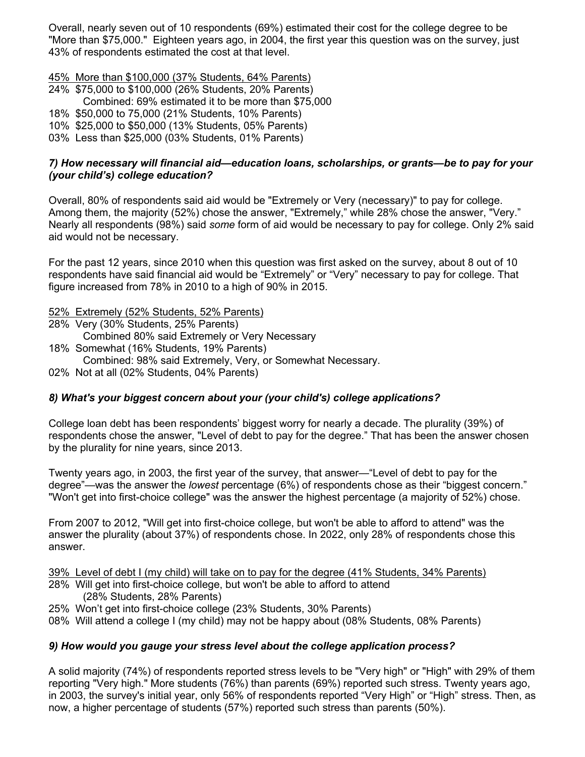Overall, nearly seven out of 10 respondents (69%) estimated their cost for the college degree to be "More than \$75,000." Eighteen years ago, in 2004, the first year this question was on the survey, just 43% of respondents estimated the cost at that level.

45% More than \$100,000 (37% Students, 64% Parents)

- 24% \$75,000 to \$100,000 (26% Students, 20% Parents) Combined: 69% estimated it to be more than \$75,000
- 18% \$50,000 to 75,000 (21% Students, 10% Parents)
- 10% \$25,000 to \$50,000 (13% Students, 05% Parents)
- 03% Less than \$25,000 (03% Students, 01% Parents)

### *7) How necessary will financial aid—education loans, scholarships, or grants—be to pay for your (your child's) college education?*

Overall, 80% of respondents said aid would be "Extremely or Very (necessary)" to pay for college. Among them, the majority (52%) chose the answer, "Extremely," while 28% chose the answer, "Very." Nearly all respondents (98%) said *some* form of aid would be necessary to pay for college. Only 2% said aid would not be necessary.

For the past 12 years, since 2010 when this question was first asked on the survey, about 8 out of 10 respondents have said financial aid would be "Extremely" or "Very" necessary to pay for college. That figure increased from 78% in 2010 to a high of 90% in 2015.

52% Extremely (52% Students, 52% Parents)

- 28% Very (30% Students, 25% Parents)
	- Combined 80% said Extremely or Very Necessary
- 18% Somewhat (16% Students, 19% Parents)
- Combined: 98% said Extremely, Very, or Somewhat Necessary.
- 02% Not at all (02% Students, 04% Parents)

### *8) What's your biggest concern about your (your child's) college applications?*

College loan debt has been respondents' biggest worry for nearly a decade. The plurality (39%) of respondents chose the answer, "Level of debt to pay for the degree." That has been the answer chosen by the plurality for nine years, since 2013.

Twenty years ago, in 2003, the first year of the survey, that answer—"Level of debt to pay for the degree"—was the answer the *lowest* percentage (6%) of respondents chose as their "biggest concern." "Won't get into first-choice college" was the answer the highest percentage (a majority of 52%) chose.

From 2007 to 2012, "Will get into first-choice college, but won't be able to afford to attend" was the answer the plurality (about 37%) of respondents chose. In 2022, only 28% of respondents chose this answer.

39% Level of debt I (my child) will take on to pay for the degree (41% Students, 34% Parents)

- 28% Will get into first-choice college, but won't be able to afford to attend (28% Students, 28% Parents)
- 25% Won't get into first-choice college (23% Students, 30% Parents)
- 08% Will attend a college I (my child) may not be happy about (08% Students, 08% Parents)

### *9) How would you gauge your stress level about the college application process?*

A solid majority (74%) of respondents reported stress levels to be "Very high" or "High" with 29% of them reporting "Very high." More students (76%) than parents (69%) reported such stress. Twenty years ago, in 2003, the survey's initial year, only 56% of respondents reported "Very High" or "High" stress. Then, as now, a higher percentage of students (57%) reported such stress than parents (50%).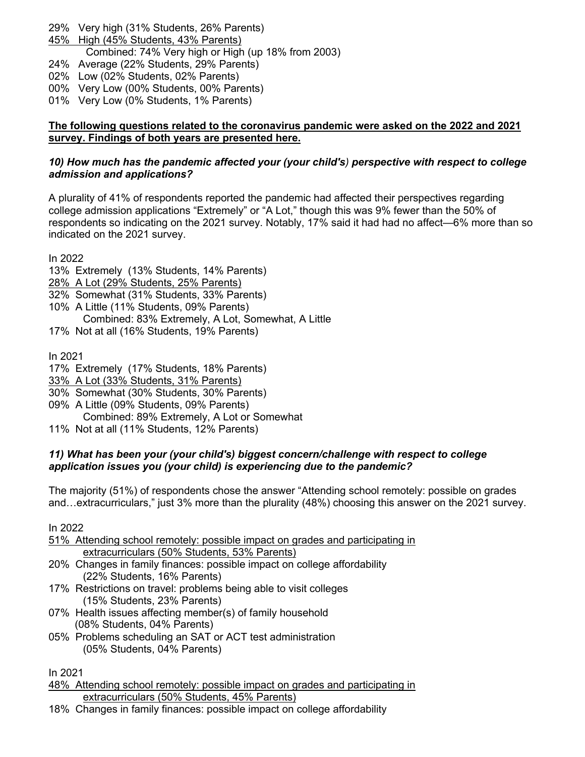- 29% Very high (31% Students, 26% Parents)
- 45% High (45% Students, 43% Parents)

Combined: 74% Very high or High (up 18% from 2003)

- 24% Average (22% Students, 29% Parents)
- 02% Low (02% Students, 02% Parents)
- 00% Very Low (00% Students, 00% Parents)
- 01% Very Low (0% Students, 1% Parents)

### **The following questions related to the coronavirus pandemic were asked on the 2022 and 2021 survey. Findings of both years are presented here.**

### *10) How much has the pandemic affected your (your child's) perspective with respect to college admission and applications?*

A plurality of 41% of respondents reported the pandemic had affected their perspectives regarding college admission applications "Extremely" or "A Lot," though this was 9% fewer than the 50% of respondents so indicating on the 2021 survey. Notably, 17% said it had had no affect—6% more than so indicated on the 2021 survey.

In 2022

- 13% Extremely (13% Students, 14% Parents)
- 28% A Lot (29% Students, 25% Parents)
- 32% Somewhat (31% Students, 33% Parents)
- 10% A Little (11% Students, 09% Parents) Combined: 83% Extremely, A Lot, Somewhat, A Little
- 17% Not at all (16% Students, 19% Parents)

In 2021

- 17% Extremely (17% Students, 18% Parents)
- 33% A Lot (33% Students, 31% Parents)
- 30% Somewhat (30% Students, 30% Parents)
- 09% A Little (09% Students, 09% Parents)
	- Combined: 89% Extremely, A Lot or Somewhat
- 11% Not at all (11% Students, 12% Parents)

### *11) What has been your (your child's) biggest concern/challenge with respect to college application issues you (your child) is experiencing due to the pandemic?*

The majority (51%) of respondents chose the answer "Attending school remotely: possible on grades and…extracurriculars," just 3% more than the plurality (48%) choosing this answer on the 2021 survey.

In 2022

- 51% Attending school remotely: possible impact on grades and participating in extracurriculars (50% Students, 53% Parents)
- 20% Changes in family finances: possible impact on college affordability (22% Students, 16% Parents)
- 17% Restrictions on travel: problems being able to visit colleges (15% Students, 23% Parents)
- 07% Health issues affecting member(s) of family household (08% Students, 04% Parents)
- 05% Problems scheduling an SAT or ACT test administration (05% Students, 04% Parents)

In 2021

- 48% Attending school remotely: possible impact on grades and participating in extracurriculars (50% Students, 45% Parents)
- 18% Changes in family finances: possible impact on college affordability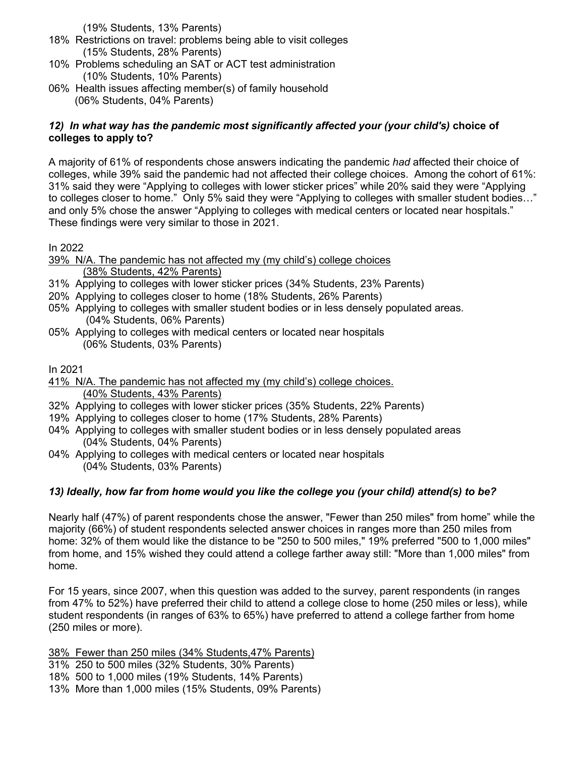(19% Students, 13% Parents)

- 18% Restrictions on travel: problems being able to visit colleges (15% Students, 28% Parents)
- 10% Problems scheduling an SAT or ACT test administration (10% Students, 10% Parents)
- 06% Health issues affecting member(s) of family household (06% Students, 04% Parents)

### 12) In what way has the pandemic most significantly affected your (your child's) choice of **colleges to apply to?**

A majority of 61% of respondents chose answers indicating the pandemic *had* affected their choice of colleges, while 39% said the pandemic had not affected their college choices. Among the cohort of 61%: 31% said they were "Applying to colleges with lower sticker prices" while 20% said they were "Applying to colleges closer to home." Only 5% said they were "Applying to colleges with smaller student bodies…" and only 5% chose the answer "Applying to colleges with medical centers or located near hospitals." These findings were very similar to those in 2021.

In 2022

- 39% N/A. The pandemic has not affected my (my child's) college choices (38% Students, 42% Parents)
- 31% Applying to colleges with lower sticker prices (34% Students, 23% Parents)
- 20% Applying to colleges closer to home (18% Students, 26% Parents)
- 05% Applying to colleges with smaller student bodies or in less densely populated areas. (04% Students, 06% Parents)
- 05% Applying to colleges with medical centers or located near hospitals (06% Students, 03% Parents)

In 2021

- 41% N/A. The pandemic has not affected my (my child's) college choices. (40% Students, 43% Parents)
- 32% Applying to colleges with lower sticker prices (35% Students, 22% Parents)
- 19% Applying to colleges closer to home (17% Students, 28% Parents)
- 04% Applying to colleges with smaller student bodies or in less densely populated areas (04% Students, 04% Parents)
- 04% Applying to colleges with medical centers or located near hospitals (04% Students, 03% Parents)

# *13) Ideally, how far from home would you like the college you (your child) attend(s) to be?*

Nearly half (47%) of parent respondents chose the answer, "Fewer than 250 miles" from home" while the majority (66%) of student respondents selected answer choices in ranges more than 250 miles from home: 32% of them would like the distance to be "250 to 500 miles," 19% preferred "500 to 1,000 miles" from home, and 15% wished they could attend a college farther away still: "More than 1,000 miles" from home.

For 15 years, since 2007, when this question was added to the survey, parent respondents (in ranges from 47% to 52%) have preferred their child to attend a college close to home (250 miles or less), while student respondents (in ranges of 63% to 65%) have preferred to attend a college farther from home (250 miles or more).

38% Fewer than 250 miles (34% Students,47% Parents) 31% 250 to 500 miles (32% Students, 30% Parents) 18% 500 to 1,000 miles (19% Students, 14% Parents)

13% More than 1,000 miles (15% Students, 09% Parents)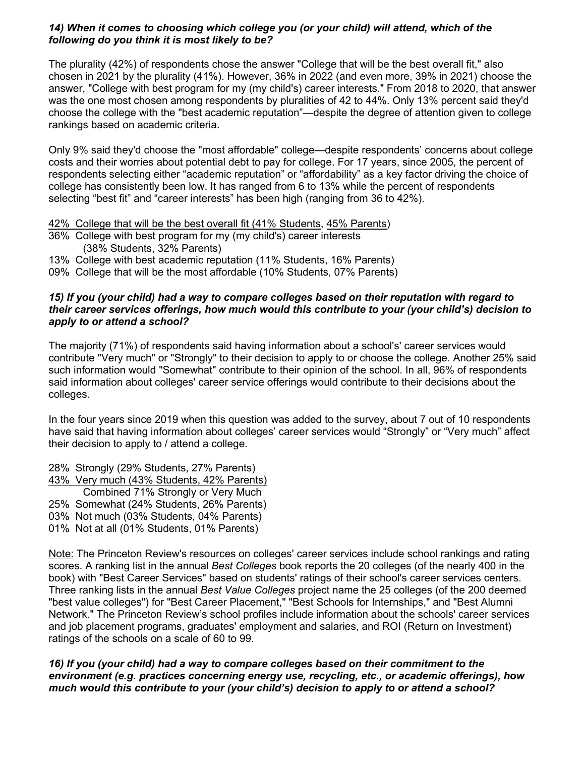### *14) When it comes to choosing which college you (or your child) will attend, which of the following do you think it is most likely to be?*

The plurality (42%) of respondents chose the answer "College that will be the best overall fit," also chosen in 2021 by the plurality (41%). However, 36% in 2022 (and even more, 39% in 2021) choose the answer, "College with best program for my (my child's) career interests." From 2018 to 2020, that answer was the one most chosen among respondents by pluralities of 42 to 44%. Only 13% percent said they'd choose the college with the "best academic reputation"—despite the degree of attention given to college rankings based on academic criteria.

Only 9% said they'd choose the "most affordable" college—despite respondents' concerns about college costs and their worries about potential debt to pay for college. For 17 years, since 2005, the percent of respondents selecting either "academic reputation" or "affordability" as a key factor driving the choice of college has consistently been low. It has ranged from 6 to 13% while the percent of respondents selecting "best fit" and "career interests" has been high (ranging from 36 to 42%).

- 42% College that will be the best overall fit (41% Students, 45% Parents)
- 36% College with best program for my (my child's) career interests (38% Students, 32% Parents)
- 13% College with best academic reputation (11% Students, 16% Parents)
- 09% College that will be the most affordable (10% Students, 07% Parents)

#### *15) If you (your child) had a way to compare colleges based on their reputation with regard to their career services offerings, how much would this contribute to your (your child's) decision to apply to or attend a school?*

The majority (71%) of respondents said having information about a school's' career services would contribute "Very much" or "Strongly" to their decision to apply to or choose the college. Another 25% said such information would "Somewhat" contribute to their opinion of the school. In all, 96% of respondents said information about colleges' career service offerings would contribute to their decisions about the colleges.

In the four years since 2019 when this question was added to the survey, about 7 out of 10 respondents have said that having information about colleges' career services would "Strongly" or "Very much" affect their decision to apply to / attend a college.

28% Strongly (29% Students, 27% Parents)

- 43% Very much (43% Students, 42% Parents)
- Combined 71% Strongly or Very Much
- 25% Somewhat (24% Students, 26% Parents)
- 03% Not much (03% Students, 04% Parents)
- 01% Not at all (01% Students, 01% Parents)

Note: The Princeton Review's resources on colleges' career services include school rankings and rating scores. A ranking list in the annual *Best Colleges* book reports the 20 colleges (of the nearly 400 in the book) with "Best Career Services" based on students' ratings of their school's career services centers. Three ranking lists in the annual *Best Value Colleges* project name the 25 colleges (of the 200 deemed "best value colleges") for "Best Career Placement," "Best Schools for Internships," and "Best Alumni Network." The Princeton Review's school profiles include information about the schools' career services and job placement programs, graduates' employment and salaries, and ROI (Return on Investment) ratings of the schools on a scale of 60 to 99.

*16) If you (your child) had a way to compare colleges based on their commitment to the environment (e.g. practices concerning energy use, recycling, etc., or academic offerings), how much would this contribute to your (your child's) decision to apply to or attend a school?*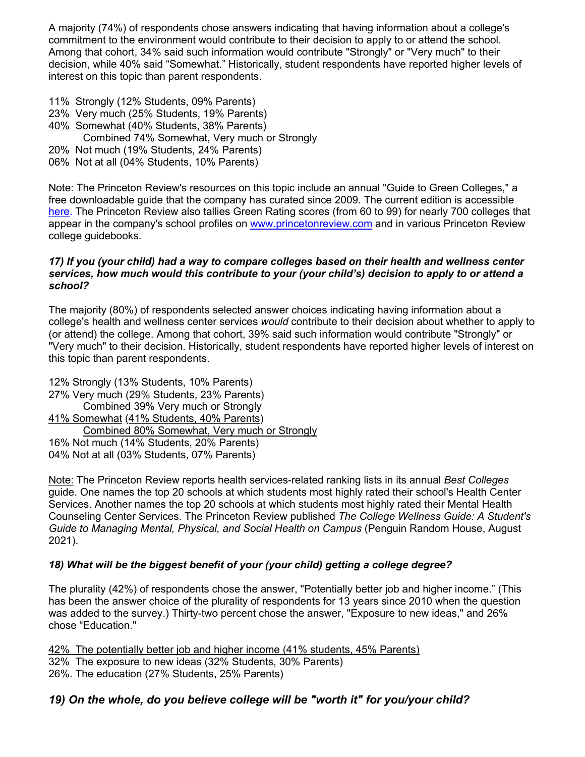A majority (74%) of respondents chose answers indicating that having information about a college's commitment to the environment would contribute to their decision to apply to or attend the school. Among that cohort, 34% said such information would contribute "Strongly" or "Very much" to their decision, while 40% said "Somewhat." Historically, student respondents have reported higher levels of interest on this topic than parent respondents.

11% Strongly (12% Students, 09% Parents)

- 23% Very much (25% Students, 19% Parents)
- 40% Somewhat (40% Students, 38% Parents)
- Combined 74% Somewhat, Very much or Strongly
- 20% Not much (19% Students, 24% Parents)
- 06% Not at all (04% Students, 10% Parents)

Note: The Princeton Review's resources on this topic include an annual "Guide to Green Colleges," a free downloadable guide that the company has curated since 2009. The current edition is accessible here. The Princeton Review also tallies Green Rating scores (from 60 to 99) for nearly 700 colleges that appear in the company's school profiles on www.princetonreview.com and in various Princeton Review college guidebooks.

### *17) If you (your child) had a way to compare colleges based on their health and wellness center services, how much would this contribute to your (your child's) decision to apply to or attend a school?*

The majority (80%) of respondents selected answer choices indicating having information about a college's health and wellness center services *would* contribute to their decision about whether to apply to (or attend) the college. Among that cohort, 39% said such information would contribute "Strongly" or "Very much" to their decision. Historically, student respondents have reported higher levels of interest on this topic than parent respondents.

12% Strongly (13% Students, 10% Parents) 27% Very much (29% Students, 23% Parents) Combined 39% Very much or Strongly 41% Somewhat (41% Students, 40% Parents) Combined 80% Somewhat, Very much or Strongly 16% Not much (14% Students, 20% Parents) 04% Not at all (03% Students, 07% Parents)

Note: The Princeton Review reports health services-related ranking lists in its annual *Best Colleges* guide. One names the top 20 schools at which students most highly rated their school's Health Center Services. Another names the top 20 schools at which students most highly rated their Mental Health Counseling Center Services. The Princeton Review published *The College Wellness Guide: A Student's Guide to Managing Mental, Physical, and Social Health on Campus* (Penguin Random House, August 2021).

### *18) What will be the biggest benefit of your (your child) getting a college degree?*

The plurality (42%) of respondents chose the answer, "Potentially better job and higher income." (This has been the answer choice of the plurality of respondents for 13 years since 2010 when the question was added to the survey.) Thirty-two percent chose the answer, "Exposure to new ideas," and 26% chose "Education."

42% The potentially better job and higher income (41% students, 45% Parents) 32% The exposure to new ideas (32% Students, 30% Parents) 26%. The education (27% Students, 25% Parents)

# *19) On the whole, do you believe college will be "worth it" for you/your child?*